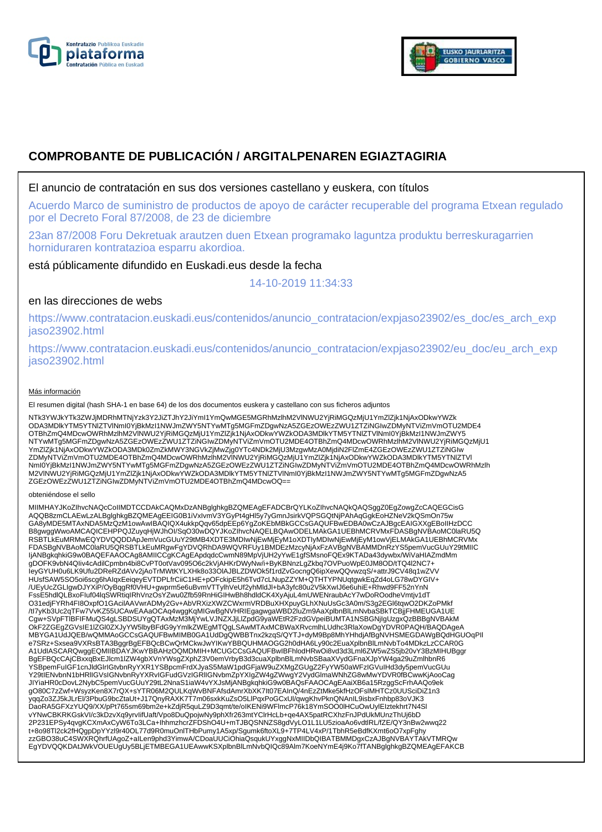



# **COMPROBANTE DE PUBLICACIÓN / ARGITALPENAREN EGIAZTAGIRIA**

### El anuncio de contratación en sus dos versiones castellano y euskera, con títulos

Acuerdo Marco de suministro de productos de apoyo de carácter recuperable del programa Etxean regulado por el Decreto Foral 87/2008, de 23 de diciembre

23an 87/2008 Foru Dekretuak arautzen duen Etxean programako laguntza produktu berreskuragarrien horniduraren kontratazioa esparru akordioa.

está públicamente difundido en Euskadi.eus desde la fecha

14-10-2019 11:34:33

## en las direcciones de webs

https://www.contratacion.euskadi.eus/contenidos/anuncio\_contratacion/expjaso23902/es\_doc/es\_arch\_exp jaso23902.html

https://www.contratacion.euskadi.eus/contenidos/anuncio\_contratacion/expjaso23902/eu\_doc/eu\_arch\_exp jaso23902.html

#### Más información

El resumen digital (hash SHA-1 en base 64) de los dos documentos euskera y castellano con sus ficheros adjuntos

NTk3YWJkYTk3ZWJjMDRhMTNjYzk3Y2JiZTJhY2JiYmI1YmQwMGE5MGRhMzlhM2VlNWU2YjRiMGQzMjU1YmZlZjk1NjAxODkwYWZk ODA3MDlkYTM5YTNlZTVlNmI0YjBkMzI1NWJmZWY5NTYwMTg5MGFmZDgwNzA5ZGEzOWEzZWU1ZTZiNGIwZDMyNTViZmVmOTU2MDE4 OTBhZmQ4MDcwOWRhMzlhM2VlNWU2YjRiMGQzMjU1YmZlZjk1NjAxODkwYWZkODA3MDlkYTM5YTNlZTVlNml0YjBkMzI1NWJmZWY5<br>NTYwMTg5MGFmZDgwNzA5ZGEzOWEzZWU1ZTZiNGIwZDMyNTViZmVmOTU2MDE4OTBhZmQ4MDcwOWRhMzlhM2VlNWU2YjRiMGQzMjU1 YmZlZjk1NjAxODkwYWZkODA3MDk0ZmZkMWY3NGVkZjMwZjg0YTc4NDk2MjU3MzgwMzA0MjdiN2FlZmE4ZGEzOWEzZWU1ZTZiNGIw<br>ZDMyNTViZmVmOTU2MDE4OTBhZmQ4MDcwOWRhMzlhM2VlNWU2YjRiMGQzMjU1YmZlZjk1NjAxODkwYWZkODA3MDlkYTM5YTNlZTVl NmI0YjBkMzI1NWJmZWY5NTYwMTg5MGFmZDgwNzA5ZGEzOWEzZWU1ZTZiNGIwZDMyNTViZmVmOTU2MDE4OTBhZmQ4MDcwOWRhMzlh M2VlNWU2YjRiMGQzMjU1YmZlZjk1NjAxODkwYWZkODA3MDlkYTM5YTNlZTVlNmI0YjBkMzI1NWJmZWY5NTYwMTg5MGFmZDgwNzA5 ZGEzOWEzZWU1ZTZiNGIwZDMyNTViZmVmOTU2MDE4OTBhZmQ4MDcwOQ==

#### obteniéndose el sello

MIIMHAYJKoZIhvcNAQcCoIIMDTCCDAkCAQMxDzANBglghkgBZQMEAgEFADCBrQYLKoZIhvcNAQkQAQSggZ0EgZowgZcCAQEGCisG AQQB8zmCLAEwLzALBglghkgBZQMEAgEEIG0B1iVxIvmV3YGyPt4gHl5y7yGmnJsirkVQPSGQtNjPAhAqGgkEoHZNeV2kQSmOn75w GA8yMDE5MTAxNDA5MzQzM1owAwIBAQIQX4ukkpQqv65dpEEp6YgZoKEbMBkGCCsGAQUFBwEDBA0wCzAJBgcEAIGXXgEBoIIHzDCC B8gwggWwoAMCAQICEHPPQJZuyqHjWJhOI/SqO30wDQYJKoZIhvcNAQELBQAwODELMAkGA1UEBhMCRVMxFDASBgNVBAoMC0laRU5Q RSBTLkEuMRMwEQYDVQQDDApJemVucGUuY29tMB4XDTE3MDIwNjEwMjEyM1oXDTIyMDIwNjEwMjEyM1owVjELMAkGA1UEBhMCRVMx<br>FDASBgNVBAoMC0laRU5QRSBTLkEuMRgwFgYDVQRhDA9WQVRFUy1BMDEzMzcyNjAxFzAVBgNVBAMMDnRzYS5pemVucGUuY29tMIIC IjANBgkqhkiG9w0BAQEFAAOCAg8AMIICCgKCAgEApdqdcCwmN89MpVjUH2yYwE1gfSMsnoFQEx9KTADa43dywbx/WiVaHIAZmdMm gDOFK9vbN4QIiv4cAdilCpmbn4bi8CvPT0otVav095O6c2kVjAHKrDWyNw/i+ByKBNnzLgZkbq7OVPuoWpE0JM8OD/tTQ4l2NC7+ IeyGYUH0u6LK9Ufu2DReRZdAVv2jAoTrMWtKYLXHk8o33OlAJBLZDWOk5f1rdZvGocngQ6ipXewQQvwzqS/+attrJ9CV48q1wZVV HUsfSAW5SO5oi6scg6hAIqxEeiqeyEVTDPLfrCiiC1HE+pOFckipE5h6Tvd7cLNupZZYM+QTHTYPNUqtgwkEqZd4oLG78wDYGIV+ /UEyUcZGLIgwDJYXiP/OyBqgRf0VHU+gwprm5e6uBvmVTTylhVeUf2yhMldJl+bA3yfc80u2V5kXwIJ6e6uhiE+Rhwd9FF52nYnN FssE5hdlQLBxoFIuf04lqSWRtiqIRhVnzOsYZwu0Zfb59RnHiGIHwBh8hdldCK4XyAjuL4mUWENraubAcY7wDoROodheVmtjv1dT O31edjFYRh4FI8OxpfO1GAcilAAVwrADMy2Gv+AbVRXizXWZCWxrmVRDBuXHXpuyGLhXNuUsGc3A0m/S3g2EGl6tqwO2DKZoPMkf<br>/tl7yKb3Uc2qTFw7VvKZ55UCAwEAAaOCAq4wggKqMlGwBgNVHRIEgagwgaWBD2luZm9AaXplbnBlLmNvbaSBkTCBjjFHMEUGA1UE Cgw+SVpFTlBFIFMuQS4gLSBDSUYgQTAxMzM3MjYwLVJNZXJjLlZpdG9yaWEtR2FzdGVpeiBUMTA1NSBGNjIgUzgxQzBBBgNVBAkM OkF2ZGEgZGVsIE1lZGl0ZXJyYW5lbyBFdG9yYmlkZWEgMTQgLSAwMTAxMCBWaXRvcmlhLUdhc3RlaXowDgYDVR0PAQH/BAQDAgeA MBYGA1UdJQEB/wQMMAoGCCsGAQUFBwMIMB0GA1UdDgQWBBTnx2kzqS/QYTJ+dyM9Bp8MhYHhdjAfBgNVHSMEGDAWgBQdHGUOqPIl e7SRz+Sxsea9VXRsBTA3BggrBgEFBQcBCwQrMCkwJwYIKwYBBQUHMAOGG2h0dHA6Ly90c2EuaXplbnBlLmNvbTo4MDkzLzCCAR0G A1UdIASCARQwggEQMIIBDAYJKwYBBAHzOQMDMIH+MCUGCCsGAQUFBwIBFhlodHRwOi8vd3d3Lml6ZW5wZS5jb20vY3BzMIHUBggr BgEFBQcCAjCBxxqBxEJlcm1lZW4gbXVnYWsgZXphZ3V0emVrbyB3d3cuaXplbnBlLmNvbSBaaXVydGFnaXJpYW4ga29uZmlhbnR6 YSBpemFuIGF1cnJldGlrIGtvbnRyYXR1YSBpcmFrdXJyaS5MaW1pdGFjaW9uZXMgZGUgZ2FyYW50aWFzIGVuIHd3dy5pemVucGUu<br>Y29tIENvbnN1bHRIIGVsIGNvbnRyYXRvIGFudGVzIGRIIGNvbmZpYXIgZW4gZWwgY2VydGlmaWNhZG8wMwYDVR0fBCwwKjAooCag JIYiaHR0cDovL2NybC5pemVucGUuY29tL2NnaS1iaW4vYXJsMjANBgkqhkiG9w0BAQsFAAOCAgEAaiXB6a15RzggScFrhAAQo9ek gO80C7zZwf+WsyzKen8X7rQX+sYTR06M2QULKqWvBNFAfsdAmrXbXK7It07EAInQ/4nEzZtMke5kfHzOFslMHTCz0UUSciDiZ1n3 yqqZo3ZJ5kJLrEl/3PbuG9bcZtaUt+J17QnyRAXK7T7m06sxkKuZsO5LlPqxPoGCxUl/qwgKhvPknQNAnIL9isbxFnhbp83oVJK3<br>DaoRA5GFXzYUQ9/XX/pPt765sm69bm2e+kZdjR5quLZ9D3qmt/te/oIKENi9WFlmcP76k18YmSOO0lHCuOwUylEIztekhrt7N4Sl vYNwCBKRKGskVI/c3kDzvXq9yrvIifUaft/Vpo8DuQpojwNy9phXfr263mtYClrHcLb+qe4AX5patRCXhzFnJPdUkMUnzThUj6bD 2P231EPSy4qvgKCXmAxCyW6To3LCa+IhhmzhcrZFDShO4U+mTJBQSNNZS8gdVyLO1L1LU5zioaAo6vdtlRL/fZE/QY3nBw2wwq22<br>t+8o98Tl2ck2fHQgpDpYYzl9r40OL77d9R0muOnlTHbPumy1A5xp/Sgumk6ftoXL9+7TP4LV4xP/1TbhR5eBdfKXmt6oO7xpFghy<br>zzGBO38uC4SWXRQhrfUA EgYDVQQKDAtJWkVOUEUgUy5BLjETMBEGA1UEAwwKSXplbnBlLmNvbQIQc89Alm7KoeNYmE4j9Ko7fTANBglghkgBZQMEAgEFAKCB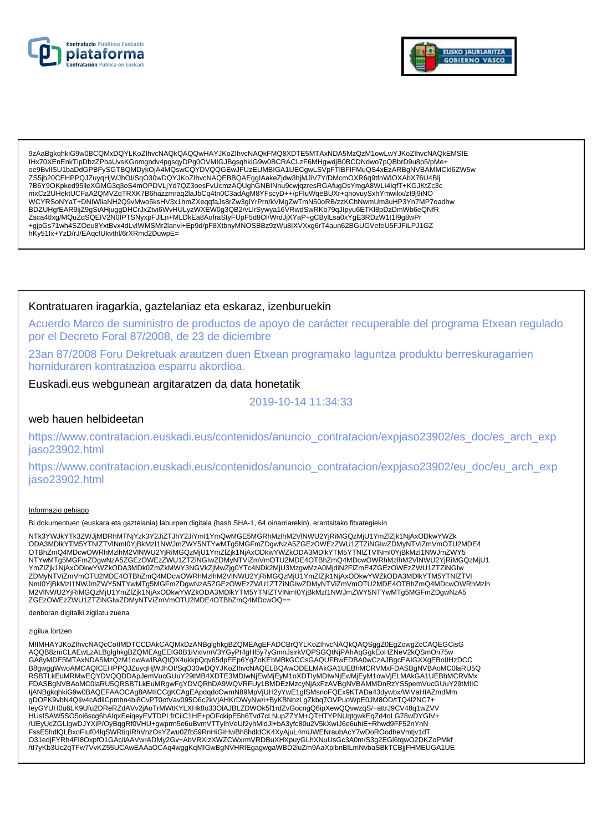



9zAaBgkqhkiG9w0BCQMxDQYLKoZlhvcNAQkQAQQwHAYJKoZlhvcNAQkFMQ8XDTE5MTAxNDA5MzQzM1owLwYJKoZlhvcNAQkEMSIE IHx70XEnEnkTipDbzZPbaUvsKGnmgndv4pgsqyDPg0OVMIGJBgsqhkiG9w0BCRACLzF6MHgwdjB0BCDNdwo7pQBbrD9u8p5/pMe-0e9BvlISU1baDdGPBFySGTBQMDykOjA4MQswCQYDVQQGEwJFUzEUMBIGA1UECgwLSVpFTIBFIFMuQS4xEzARBgNVBAMMCkl6ZW5w ZS5jb20CEHPPQJZuyqHjWJhOl/SqO30wDQYJKoZlhvcNAQEBBQAEgglAakeZjdw3hjMJiV7Y/DMcmOXR6q9tfnWIOXAbX76U4Blj 7B6Y9OKpked95lleXGMG3q3oS4mOPDVLjYd7QZ3oesFvUcmzAQUghGNBINnu9cwjqzresRGAfugDsYmgA8WLI4IqfT+KGJKtZc3c mxCz2UHektUCFaA2QMVZqTRXK7B6hazzmraq2laJbCq4tn0C3adAgM8YFscyD++/pFluWqeBUXr+qnovuySxhYmwikx/zl9j9iNO WCYRSoNYaT+DNIWliaNH2Q9vMwo5ksHV3x1hmZXeqqfaJs8rZw3glYrPrn/kVMgZwTmN50oRB/zzKChNwmUm3uHP3Yn7MP7oadhw<br>BDZUHgfEAR9ijZ9gSiAHjuggDHCrJxZtvi6WvHULyzWXEW0g3QB2/vLlrSywya16VRwdSwRKb79qJlpyu6ETKl8pDzDmWb6eQNfR Procession in understanding the Mathematic Construction of the Construction of the Construction of the Construction of the Construction of the Construction of the Construction of the Construction of the Construction of th hKy51Ix+YzD/rJ/EAqcfUkvthl/6rXRmd2DuwpE=

### Kontratuaren iragarkia, gaztelaniaz eta eskaraz, izenburuekin

Acuerdo Marco de suministro de productos de apoyo de carácter recuperable del programa Etxean regulado por el Decreto Foral 87/2008, de 23 de diciembre

23an 87/2008 Foru Dekretuak arautzen duen Etxean programako laguntza produktu berreskuragarrien horniduraren kontratazioa esparru akordioa.

### Euskadi.eus webgunean argitaratzen da data honetatik

#### 2019-10-14 11:34:33

#### web hauen helbideetan

https://www.contratacion.euskadi.eus/contenidos/anuncio\_contratacion/expjaso23902/es\_doc/es\_arch\_exp jaso23902.html

https://www.contratacion.euskadi.eus/contenidos/anuncio contratacion/expjaso23902/eu doc/eu arch exp jaso23902.html

#### Informazio gehiago

Bi dokumentuen (euskara eta gaztelania) laburpen digitala (hash SHA-1, 64 oinarriarekin), erantsitako fitxategiekin

NTk3YWJkYTk3ZWJjMDRhMTNjYzk3Y2JiZTJhY2JiYml1YmQwMGE5MGRhMzlhM2VlNWU2YjRiMGQzMjU1YmZlZjk1NjAxODkwYWZk ODA3MDlkYTM5YTNIZTVINmI0YjBkMzI1NWJmZWY5NTYwMTq5MGFmZDqwNzA5ZGEzOWEzZWU1ZTZiNGIwZDMyNTViZmVmOTU2MDE4 OTBhZmQ4MDcwOWRhMzIhM2VINWU2YjRiMGQzMjU1YmZlZjk1NjAxODkwYWZkODA3MDlkYTM5YTNlZTVINml0YjBkMzl1NWJmZWY5 NTYwMTg5MGFmZDgwNzA5ZGEzOWEzZWU1ZTZINGIwZDMyNTViZmVmOTU2MDE4OTBhZmQ4MDcwOWRhMzInM2VINWU2YjRiMGQzMjU1 YmZlZjk1NjAxODkwYWZkODA3MDk0ZmZkMWY3NGVkZjMwZjg0YTc4NDk2MjU3MzgwMzA0MjdiN2FlZmE4ZGEzOWEzZWU1ZTZiNGIw ZDMyNTViZmVmOTU2MDE4OTBhZmQ4MDcwOWRhMzIhM2VINWU2YjRiMGQzMjU1YmZlZjk1NjAxODkwYWZkODA3MDlkYTM5YTNIZTVI Nml0YjBkMzI1NWJmZWY5NTYwMTg5MGFmZDgwNzA5ZGEzOWEzZWU1ZTZiNGlwZDMyNTViZmVmOTU2MDE4OTBhZmQ4MDcwOWRhMzlh<br>M2VINWU2YjRiMGQzMjU1YmZlZjk1NjAxODkwYWZkODA3MDlkYTM5YTNlZTVlNml0YjBkMzI1NWJmZWY5NTYwMTg5MGFmZDgwNzA5 ZGEzOWEzZWU1ZTZiNGIwZDMyNTViZmVmOTU2MDE4OTBhZmQ4MDcwOQ==

denboran digitalki zigilatu zuena

#### zigilua lortzen

MIIMHAYJKoZIhvcNAQcCoIIMDTCCDAkCAQMxDzANBglghkgBZQMEAgEFADCBrQYLKoZIhvcNAQkQAQSggZ0EgZowgZcCAQEGCisG AQQB8zmCLAEwLzALBglghkgBZQMEAgEEIG0B1iVxIvmV3YGyPt4gHl5y7yGmnJsirkVQPSGQtNjPAhAqGgKEoHZNeV2KQSmOn75w GA8yMDE5MTAxNDA5MzQzM1owAwIBAQIQX4ukkpQqv65dpEEp6YgZoKEbMBkGCCsGAQUFBwEDBA0wCzAJBgcEAIGXXgEBoIIHzDCC B8gwggWwoAMCAQICEHPPQJZuyqHjWJhOI/SqO30wDQYJKoZIhvcNAQELBQAwODELMAkGA1UEBhMCRVMxFDASBgNVBAoMC0laRU5Q RSBTLKEuMRMwEQYDVQQDDApJemVucGUuY29tMB4XDTE3MDlwNjEwMjEyM1oXDTIyMDlwNjEwMjEyM1owVjELMAkGA1UEBhMCRVMx<br>FDASBgNVBAoMC0laRU5QRSBTLkEuMRgwFgYDVQRhDA9WQVRFUy1BMDEzMzcyNjAxFzAVBgNVBAMMDnRzYS5pemVucGUuY29tMIIC ljANBgkqhkiG9w0BAQEFAAOCAg8AMIICCgKCAgEApdqdcCwmN89MpVjUH2yYwE1gfSMsnoFQEx9KTADa43dywbx/WiVaHIAZmdMm<br>gDOFK9vbN4Qliv4cAdilCpmbn4bi8CvPT0otVav095O6c2kVjAHKrDWyNw/i+ByKBNnzLgZkbq7OVPuoWpE0JM8OD/tTQ4l2NC7+ leyGYUH0u6LK9Ufu2DReRZdAVv2jAoTrMWtKYLXHk8o33OIAJBLZDWOk5f1rdZvGocngQ6ipXewQQvwzqS/+attrJ9CV48q1wZVV HUsfSAW5SO5oi6scg6hAlqxEeiqeyEVTDPLfrCiiC1HE+pOFckipE5h6Tvd7cLNupZZYM+QTHTYPNUqtgwkEqZd4oLG78wDYGIV+ /UEyUcZGLIgwDJYXiP/OyBqgRf0VHU+gwprm5e6uBvmVTTylhVeUf2yhMldJl+bA3yfc80u2V5kXwlJ6e6uniE+Rhwd9FF52nYnN FssE5hdlQLBxoFluf04lqSWRtiqIRhVnzOsYZwu0Zfb59RnHiGIHwBh8hdldCK4XyAjuL4mUWENraubAcY7wDoROodheVmtjv1dT O31edjFYRh4Fl8OxpfO1GAcilAAVwrADMy2Gv+AbVRXizXWZCWxrmVRDBuXHXpuyGLhXNuUsGc3A0m/S3g2EGl6tqwO2DKZoPMkf /tl7yKb3Uc2qTFw7VvKZ55UCAwEAAaOCAq4wggKqMIGwBgNVHRIEgagwgaWBD2IuZm9AaXplbnBlLmNvbaSBkTCBjjFHMEUGA1UE